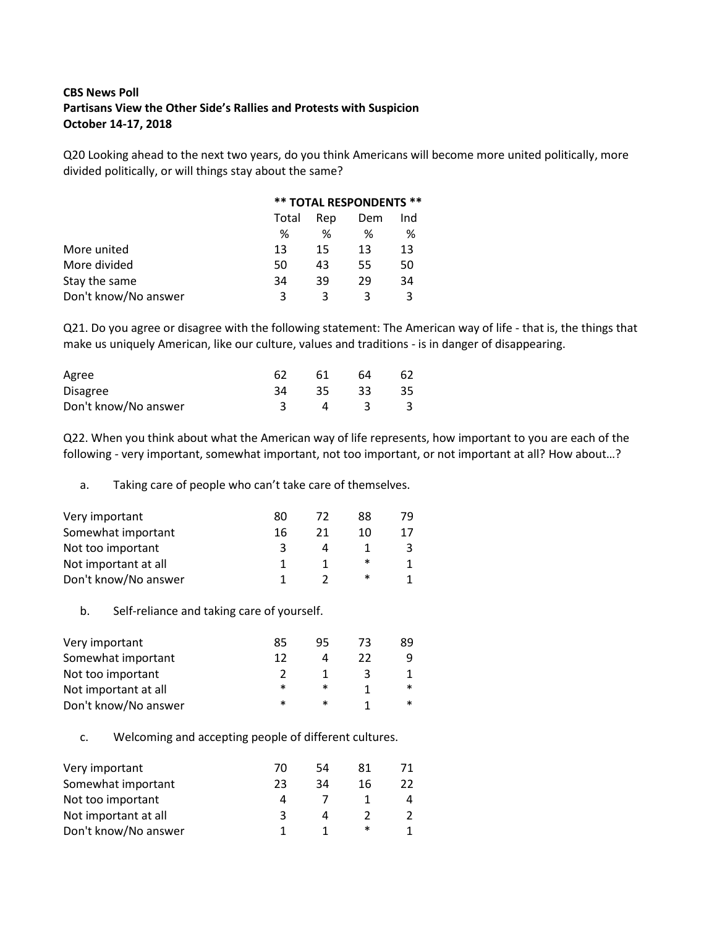# **CBS News Poll Partisans View the Other Side's Rallies and Protests with Suspicion October 14-17, 2018**

Q20 Looking ahead to the next two years, do you think Americans will become more united politically, more divided politically, or will things stay about the same?

|                      |       |     | <b>** TOTAL RESPONDENTS **</b> |     |
|----------------------|-------|-----|--------------------------------|-----|
|                      | Total | Rep | Dem                            | Ind |
|                      | ℅     | ℅   | %                              | %   |
| More united          | 13    | 15  | 13                             | 13  |
| More divided         | 50    | 43  | 55                             | 50  |
| Stay the same        | 34    | 39  | 29                             | 34  |
| Don't know/No answer | ર     | ર   |                                | ζ   |

Q21. Do you agree or disagree with the following statement: The American way of life - that is, the things that make us uniquely American, like our culture, values and traditions - is in danger of disappearing.

| Agree                |    | 61 | 64 | 62 |
|----------------------|----|----|----|----|
| <b>Disagree</b>      | 34 | 35 | 33 | 35 |
| Don't know/No answer |    |    |    |    |

Q22. When you think about what the American way of life represents, how important to you are each of the following - very important, somewhat important, not too important, or not important at all? How about…?

#### a. Taking care of people who can't take care of themselves.

| Very important       | 80 | 72 | 88 | 79 |
|----------------------|----|----|----|----|
| Somewhat important   | 16 | 21 | 10 | 17 |
| Not too important    |    |    |    |    |
| Not important at all |    |    | ∗  |    |
| Don't know/No answer |    |    | ∗  |    |

b. Self-reliance and taking care of yourself.

| Very important       | 85 | 95 | 73 | 89     |
|----------------------|----|----|----|--------|
| Somewhat important   | 12 | л  | 22 | q      |
| Not too important    |    |    |    |        |
| Not important at all | ∗  | *  |    | $\ast$ |
| Don't know/No answer | ж  | ∗  |    | $\ast$ |

## c. Welcoming and accepting people of different cultures.

| Very important       | 70 | 54 | 81 |  |
|----------------------|----|----|----|--|
| Somewhat important   | 23 | 34 | 16 |  |
| Not too important    | Δ  |    |    |  |
| Not important at all | ર  |    |    |  |
| Don't know/No answer |    |    | ∗  |  |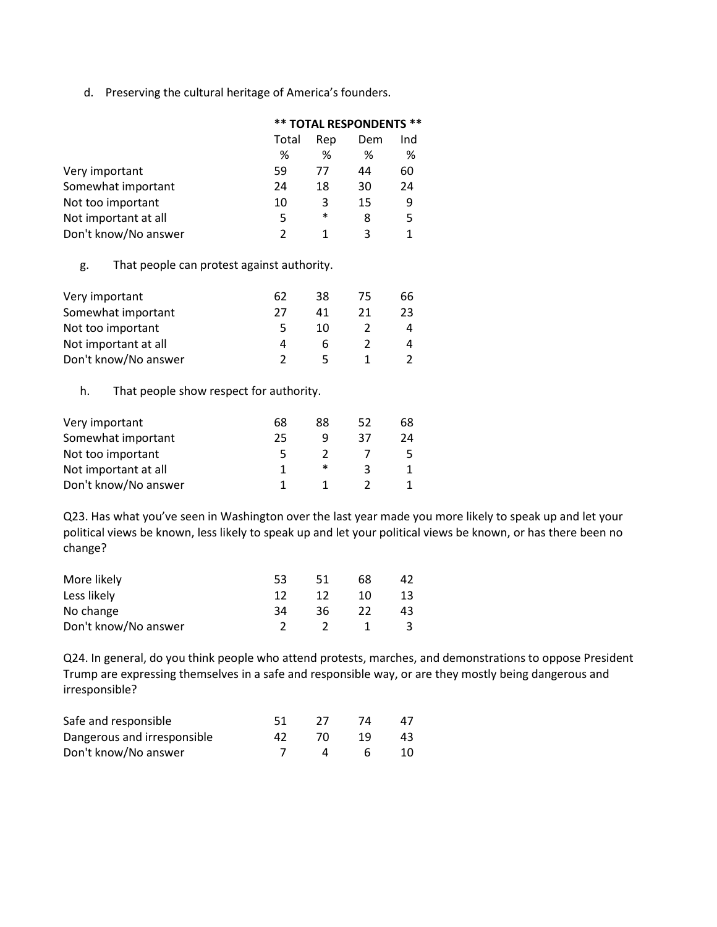d. Preserving the cultural heritage of America's founders.

|                      | <b>** TOTAL RESPONDENTS **</b> |        |     |    |
|----------------------|--------------------------------|--------|-----|----|
|                      | Total                          | Dem    | Ind |    |
|                      | ℅                              | ℅      | ℅   | ℅  |
| Very important       | 59                             | 77     | 44  | 60 |
| Somewhat important   | 24                             | 18     | 30  | 24 |
| Not too important    | 10                             | 3      | 15  | 9  |
| Not important at all | 5                              | $\ast$ | 8   | 5  |
| Don't know/No answer | 2                              | 1      | ੨   |    |

### g. That people can protest against authority.

| Very important       | 62 | 38 | 75 | 66 |
|----------------------|----|----|----|----|
| Somewhat important   | 77 | Λ1 | 21 | 23 |
| Not too important    |    | 10 |    | Δ  |
| Not important at all |    |    |    | 4  |
| Don't know/No answer |    |    |    |    |

### h. That people show respect for authority.

| Very important       | 68 | 88 | 52 | 68 |
|----------------------|----|----|----|----|
| Somewhat important   | 25 |    | 37 | 24 |
| Not too important    | ъ  |    |    |    |
| Not important at all |    | ∗  |    |    |
| Don't know/No answer |    |    |    |    |

Q23. Has what you've seen in Washington over the last year made you more likely to speak up and let your political views be known, less likely to speak up and let your political views be known, or has there been no change?

| More likely          | 53 | 51 | 68 |    |
|----------------------|----|----|----|----|
| Less likely          |    | 12 | 10 | 13 |
| No change            | 34 | 36 |    | 43 |
| Don't know/No answer |    |    |    | 3  |

Q24. In general, do you think people who attend protests, marches, and demonstrations to oppose President Trump are expressing themselves in a safe and responsible way, or are they mostly being dangerous and irresponsible?

| Safe and responsible        |  |     |    |
|-----------------------------|--|-----|----|
| Dangerous and irresponsible |  | -19 | 43 |
| Don't know/No answer        |  |     | 10 |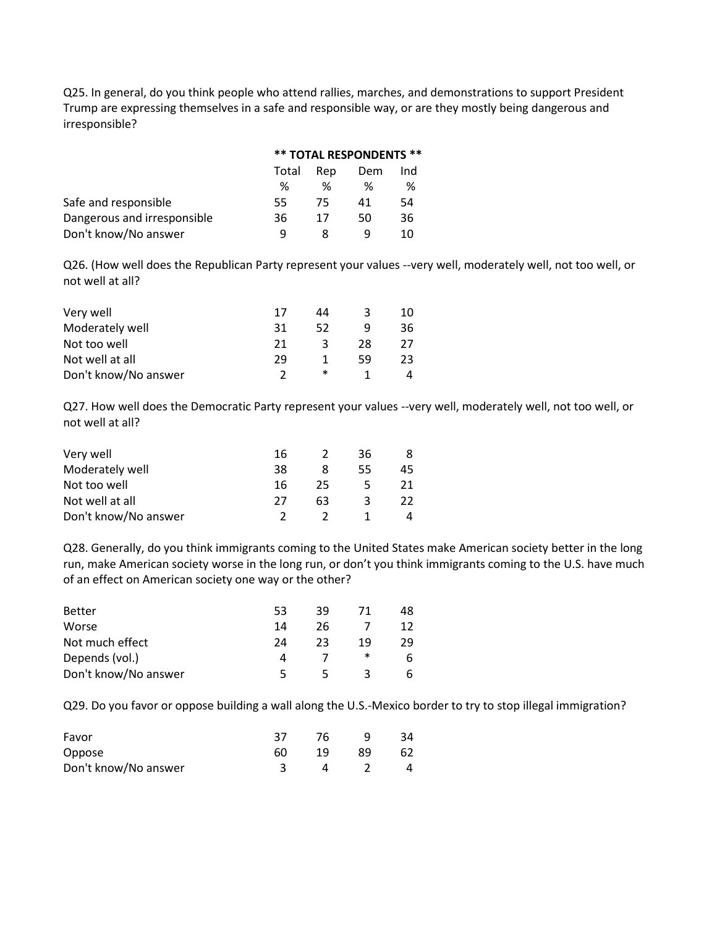Q25. In general, do you think people who attend rallies, marches, and demonstrations to support President Trump are expressing themselves in a safe and responsible way, or are they mostly being dangerous and irresponsible?

|                             | <b>** TOTAL RESPONDENTS **</b> |     |     |     |  |
|-----------------------------|--------------------------------|-----|-----|-----|--|
|                             | Total                          | Rep | Dem | Ind |  |
|                             | ℅                              | ℅   | ℅   | %   |  |
| Safe and responsible        | 55.                            | 75  | 41  | 54  |  |
| Dangerous and irresponsible | 36                             | 17  | 50  | 36  |  |
| Don't know/No answer        | q                              |     |     | 10  |  |

Q26. (How well does the Republican Party represent your values --very well, moderately well, not too well, or not well at all?

| Very well            | 17 | 44 |    | 10 |
|----------------------|----|----|----|----|
| Moderately well      | 31 | 52 |    | 36 |
| Not too well         | 21 | ર  | 28 | 27 |
| Not well at all      | 29 |    | 59 | 23 |
| Don't know/No answer |    | ∗  |    |    |

Q27. How well does the Democratic Party represent your values --very well, moderately well, not too well, or not well at all?

| Very well            | 16 |    | 36  | 8  |
|----------------------|----|----|-----|----|
| Moderately well      | 38 |    | 55. | 45 |
| Not too well         | 16 | 25 |     | 21 |
| Not well at all      | 77 | 63 |     | 22 |
| Don't know/No answer |    |    |     |    |

Q28. Generally, do you think immigrants coming to the United States make American society better in the long run, make American society worse in the long run, or don't you think immigrants coming to the U.S. have much of an effect on American society one way or the other?

| <b>Better</b>        | 53        | 39 |    | 48 |
|----------------------|-----------|----|----|----|
|                      |           |    |    |    |
| Worse                | 14        | 26 |    | 12 |
| Not much effect      | 24        | つっ | 19 | 29 |
| Depends (vol.)       | $\Lambda$ |    | ∗  | 6  |
| Don't know/No answer | ь.        | ∽  |    | 6  |

Q29. Do you favor or oppose building a wall along the U.S.-Mexico border to try to stop illegal immigration?

| Favor                | 37 | 76 |    | 34 |
|----------------------|----|----|----|----|
| Oppose               | 60 | 19 | 89 | 62 |
| Don't know/No answer |    |    |    |    |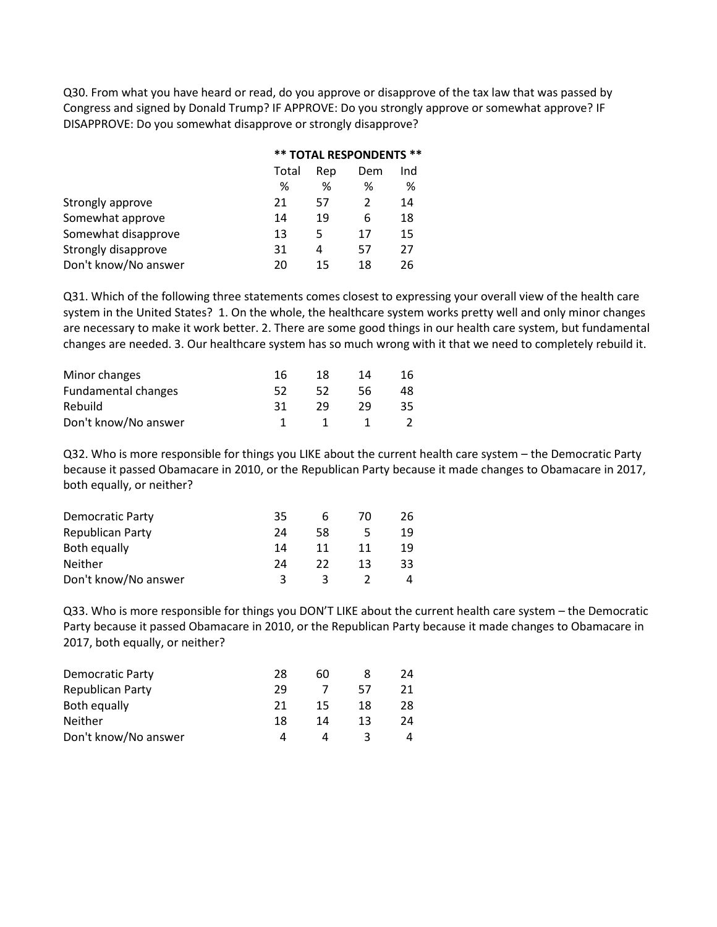Q30. From what you have heard or read, do you approve or disapprove of the tax law that was passed by Congress and signed by Donald Trump? IF APPROVE: Do you strongly approve or somewhat approve? IF DISAPPROVE: Do you somewhat disapprove or strongly disapprove?

|                      |       | <b>** TOTAL RESPONDENTS **</b> |    |     |  |  |
|----------------------|-------|--------------------------------|----|-----|--|--|
|                      | Total | Rep                            |    | Ind |  |  |
|                      | %     | ℅                              | %  | %   |  |  |
| Strongly approve     | 21    | 57                             | 2  | 14  |  |  |
| Somewhat approve     | 14    | 19                             | 6  | 18  |  |  |
| Somewhat disapprove  | 13    | 5                              | 17 | 15  |  |  |
| Strongly disapprove  | 31    | 4                              | 57 | 27  |  |  |
| Don't know/No answer | 20    | 15                             | 18 | 26  |  |  |

Q31. Which of the following three statements comes closest to expressing your overall view of the health care system in the United States? 1. On the whole, the healthcare system works pretty well and only minor changes are necessary to make it work better. 2. There are some good things in our health care system, but fundamental changes are needed. 3. Our healthcare system has so much wrong with it that we need to completely rebuild it.

| Minor changes        | 16 | 18 | 14 | 16 |
|----------------------|----|----|----|----|
| Fundamental changes  |    | 52 | 56 | 48 |
| Rebuild              | 31 | 29 | 29 | 35 |
| Don't know/No answer |    |    |    |    |

Q32. Who is more responsible for things you LIKE about the current health care system – the Democratic Party because it passed Obamacare in 2010, or the Republican Party because it made changes to Obamacare in 2017, both equally, or neither?

| Democratic Party     | 35 | h  | 70 | 26 |
|----------------------|----|----|----|----|
| Republican Party     | 24 | 58 |    | 19 |
| Both equally         | 14 | 11 | 11 | 19 |
| <b>Neither</b>       | 24 | 22 | 13 | 33 |
| Don't know/No answer |    |    |    |    |

Q33. Who is more responsible for things you DON'T LIKE about the current health care system – the Democratic Party because it passed Obamacare in 2010, or the Republican Party because it made changes to Obamacare in 2017, both equally, or neither?

| Democratic Party     | 28 | 60 |    | 24 |
|----------------------|----|----|----|----|
| Republican Party     | 29 |    | 57 | 21 |
| Both equally         | 21 | 15 | 18 | 28 |
| <b>Neither</b>       | 18 | 14 | 13 | 24 |
| Don't know/No answer |    |    |    | Δ  |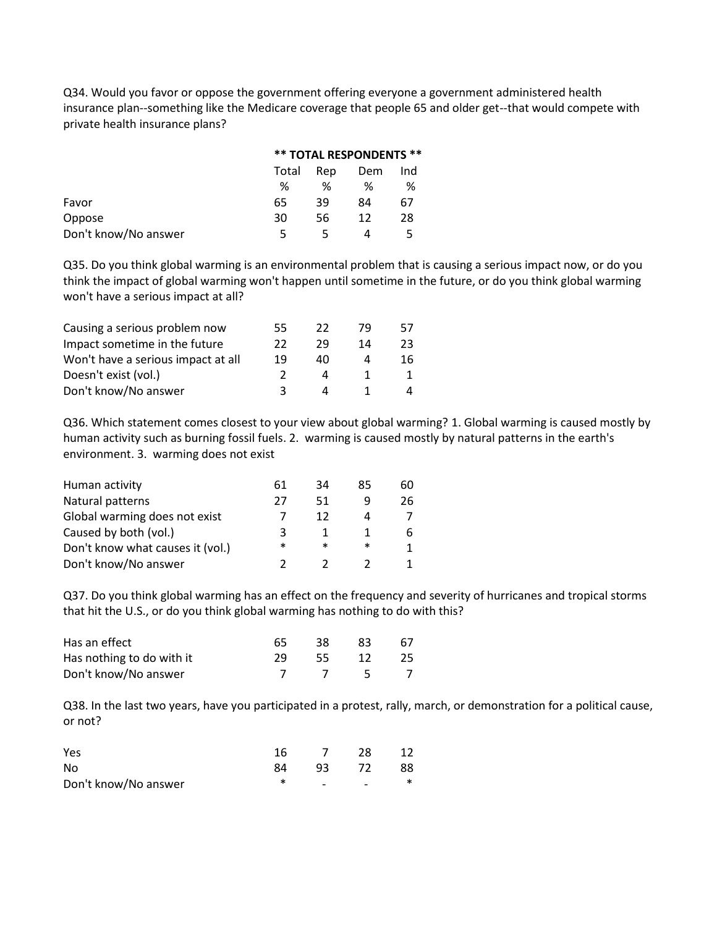Q34. Would you favor or oppose the government offering everyone a government administered health insurance plan--something like the Medicare coverage that people 65 and older get--that would compete with private health insurance plans?

|                      |       | <b>** TOTAL RESPONDENTS **</b> |     |     |  |  |
|----------------------|-------|--------------------------------|-----|-----|--|--|
|                      | Total | Rep                            | Dem | Ind |  |  |
|                      | %     | ℅                              | %   | %   |  |  |
| Favor                | 65    | 39                             | 84  | 67  |  |  |
| Oppose               | 30    | 56                             | 12  | 28  |  |  |
| Don't know/No answer |       |                                | Δ   |     |  |  |

Q35. Do you think global warming is an environmental problem that is causing a serious impact now, or do you think the impact of global warming won't happen until sometime in the future, or do you think global warming won't have a serious impact at all?

| Causing a serious problem now      | 55 | 22 | 79 | 57 |
|------------------------------------|----|----|----|----|
| Impact sometime in the future      | 22 | 29 | 14 | 23 |
| Won't have a serious impact at all | 19 | 40 |    | 16 |
| Doesn't exist (vol.)               |    |    |    |    |
| Don't know/No answer               |    |    |    | Δ  |

Q36. Which statement comes closest to your view about global warming? 1. Global warming is caused mostly by human activity such as burning fossil fuels. 2. warming is caused mostly by natural patterns in the earth's environment. 3. warming does not exist

| Human activity                   | 61 | 34     | 85     | 60 |
|----------------------------------|----|--------|--------|----|
| Natural patterns                 | 27 | 51     |        | 26 |
| Global warming does not exist    |    | 12     |        |    |
| Caused by both (vol.)            | 2  |        |        | 6  |
| Don't know what causes it (vol.) | ∗  | $\ast$ | $\ast$ | 1  |
| Don't know/No answer             |    |        |        |    |

Q37. Do you think global warming has an effect on the frequency and severity of hurricanes and tropical storms that hit the U.S., or do you think global warming has nothing to do with this?

| Has an effect             | 65. | 38.  | 83   | 67 |
|---------------------------|-----|------|------|----|
| Has nothing to do with it | 29. | -55- | -12- | 25 |
| Don't know/No answer      |     |      | $-5$ |    |

Q38. In the last two years, have you participated in a protest, rally, march, or demonstration for a political cause, or not?

| Yes                  | 16 |                          | 28                       |        |
|----------------------|----|--------------------------|--------------------------|--------|
| No                   | 84 | 93                       | 72                       | 88     |
| Don't know/No answer |    | $\overline{\phantom{0}}$ | $\overline{\phantom{0}}$ | $\ast$ |